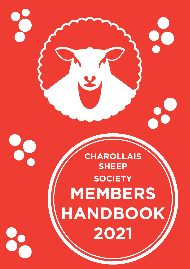

20

20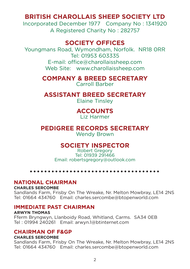### **BRITISH CHAROLLAIS SHEEP SOCIETY LTD**

Incorporated December 1977 Company No : 1341920 A Registered Charity No : 282757

### **SOCIETY OFFICES**

Youngmans Road, Wymondham, Norfolk. NR18 0RR Tel: 01953 603335 E-mail: office@charollaissheep.com Web Site: www.charollaissheep.com

> **COMPANY & BREED SECRETARY** Carroll Barber

### **ASSISTANT BREED SECRETARY**

Elaine Tinsley

## **ACCOUNTS**

Liz Harmer

### **PEDIGREE RECORDS SECRETARY**

Wendy Brown

### **SOCIETY INSPECTOR**

Robert Gregory Tel: 01939 291466 Email: robertsgregory@outlook.com

#### **NATIONAL CHAIRMAN**

#### **CHARLES SERCOMBE**

Sandlands Farm, Frisby On The Wreake, Nr. Melton Mowbray, LE14 2NS Tel: 01664 434760 Email: charles.sercombe@btopenworld.com

#### **IMMEDIATE PAST CHAIRMAN**

#### **ARWYN THOMAS**

Fferm Bryngwyn, Llanboidy Road, Whitland, Carms. SA34 0EB Tel : 01994 240261 Email: arwyn.1@btinternet.com

#### **CHAIRMAN OF F&GP**

#### **CHARLES SERCOMBE**

Sandlands Farm, Frisby On The Wreake, Nr. Melton Mowbray, LE14 2NS Tel: 01664 434760 Email: charles.sercombe@btopenworld.com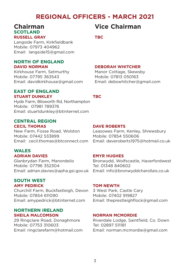### **REGIONAL OFFICERS - MARCH 2021**

#### **Chairman Vice Chairman SCOTLAND RUSSELL GRAY TBC**

Langside Farm, Kirkfieldbank Mobile: 07973 404962 Email: langside15@gmail.com

#### **NORTH OF ENGLAND DAVID NORMAN DEBORAH WHITCHER**

Kirkhouse Farm, Setmurthy Manor Cottage, Skewsby Mobile: 07795 363543 Mobile: 07813 050163 Email: davidkirkhouse@gmail.com Email: debswhitcher@gmail.com

#### **EAST OF ENGLAND STUART DUNKLEY TBC**

Hyde Farm, Blisworth Rd, Northampton Mobile: 07981 789376 Email: stuartdunkley@btinternet.com

#### **CENTRAL REGION CECIL THOMAS DAVE ROBERTS**

New Farm, Fosse Road, Wolston Leasowes Farm, Kenley, Shrewsbury Mobile: 07442 533899 Mobile: 07854 550606

#### **WALES ADRIAN DAVIES EMYR HUGHES**

Mobile: 07796 352304 Tel: 01348 840602

#### **SOUTH WEST AMY PEDRICK TOM NEWTH**

Churchill Farm, Buckfastleigh, Devon 3 West Park, Castle Cary Mobile: 07854 611090 Mobile: 07402 919827

#### **NORTHERN IRELAND SHEILA MALCOMSON NORMAN MCMORDIE**

Mobile: 07753 310603 Tel: 02897 511181

Email: cecil.thomas@btconnect.com Email: daveroberts1975@hotmail.co.uk

Glanbrydan Farm, Manordeilo Bronwydd, Wolfscastle, Haverfordwest Email: adrian.davies@apha.gsi.gov.uk Email: info@bronwyddcharollais.co.uk

Email: amypedrick@btinternet.com Email: theprestleighflock@gmail.com

29 Ringclare Road, Donaghmore Riverdale Lodge, Saintfield, Co. Down Email: ringclarefarm@hotmail.com Email: norman.mcmordie@gmail.com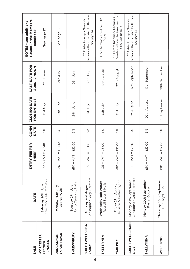| <b>SALE</b>                              | DATE                                                | FEE PER<br>EEP<br>풊<br>ENTRY          | <b>COMM</b><br><b>RATE</b> | CLOSING DATE<br>FOR ENTRIES | <b>LAST DATE FOR</b><br><b>SUBS 12 NOON</b> | clauses in the Members<br><b>NOTES - see additional</b><br>Handbook                                      |
|------------------------------------------|-----------------------------------------------------|---------------------------------------|----------------------------|-----------------------------|---------------------------------------------|----------------------------------------------------------------------------------------------------------|
| WORCESTER<br><b>PREMIER +</b><br>FEMALES | Clive Roads, McCartneys<br>Saturday 26th June       | $AT = E48$<br>F40 + V                 | 5%                         | 21st May                    | 23rd June                                   | See page 10                                                                                              |
| EXPORT SALE<br><b>NONNANDIN</b>          | Monday 26th July<br>George Wylie                    | $T = \pounds24.00$<br>$E2O + VA$      | 6%                         | 25th June                   | 23rd July                                   | See page 8                                                                                               |
| <b>SHREWSBURY</b>                        | Jonny Dymond, Halls<br>Tuesday 27th July            | $£10 + VAT = £12.00$                  | 5%                         | 29th June                   | 26th July                                   |                                                                                                          |
| BUILTH WELLS NSA<br>EARLY                | Christopher Greg, Hereford<br>Monday 2nd August     | $£5 + VAT = £6.00$                    | 6%                         | <b>Ist July</b>             | SOth July                                   | females will also be taken for this sale.<br>Entries for empty Charollais<br>See page 14<br>$* \atop *}$ |
| EXETER NSA                               | Wednesday 18th August<br>Russell Steer, Kivells     | $I = \text{\pounds}6.00$<br>$ES + VA$ | 6%                         | <b>Sth July</b>             | 18th August                                 | Open to females and non-MV<br>flocks                                                                     |
| CARLISLE                                 | Harrison & Hetherington<br>Friday 27th August       | $£10 + VAT = £12.00$                  | 5%                         | Vlnr 1318                   | 27th August                                 | females will also be taken for this<br>Entries for empty Charollais<br>sale. See page 13                 |
| BUILTH WELLS MAIN<br>SALE                | Christopher Greg, Hereford<br>Monday 20th September | $£6 + VA = £7.20$                     | 6%                         | <b>5th August</b>           | 17th September                              | females will also be taken for this sale.<br>Entries for empty Charollais<br>See page 14<br>$*$          |
| BALLYMENA                                | Monday 20th September<br>Foster Gowdy               | $£10 + VAT = £12.00$                  | 5%                         | 20th August                 | 17th September                              |                                                                                                          |
| <b>WELSHPOOL</b>                         | Thursday 30th September<br>N R Lloyd & Co           | $£10 + VAT = £12.00$                  | 5%                         | 3rd September               | 29th September                              |                                                                                                          |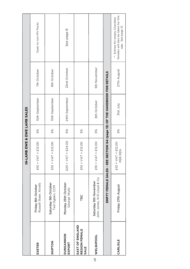|                                          |                                                     | IN-LAMB EWE & EWE LAMB SALES                                              |    |                |              |                                                                                                 |  |
|------------------------------------------|-----------------------------------------------------|---------------------------------------------------------------------------|----|----------------|--------------|-------------------------------------------------------------------------------------------------|--|
| EXETER                                   | Russell Steer, Kivells<br>Friday 8th October        | $£10 + VAT = £12.00$                                                      | 5% | 10th September | 7th October  | Open to non-MV flocks                                                                           |  |
| SKIPTON                                  | Saturday 9th October<br>Ted Ogden, CCM              | $£10 + VAT = £12.00$                                                      | 5% | 10th September | 8th October  |                                                                                                 |  |
| NONNAPION<br>EXPORT                      | Monday 25th October<br>George Wylie                 | $T = £24.00$<br>$E2O + VA$                                                | 6% | 24th September | 22nd October | See page 8                                                                                      |  |
| EAST OF ENGLAND<br>REGION FEMALE<br>SALE | TBC                                                 | $£10 + VAT = £12.00$                                                      | 5% |                |              |                                                                                                 |  |
| <b>WELSHPOOL</b>                         | John Jones, N R Lloyd & Co<br>Saturday 6th November | $£10 + VAT = £12.00$                                                      | 5% | 8th October    | 5th November |                                                                                                 |  |
|                                          |                                                     | EMPTY FEMALE SALES - SEE SECTION G4 (page 13) OF THE HANDBOOK FOR DETAILS |    |                |              |                                                                                                 |  |
| CARLISLE                                 | Friday 27th August                                  | $£10 + VAT = £12.00$<br>PEN<br>PER                                        | 5% | S1st July      | 27th August  | females will also be taken for this<br>Entries for empty Charollais<br>sale. See page 13<br>$*$ |  |
|                                          |                                                     |                                                                           |    |                |              |                                                                                                 |  |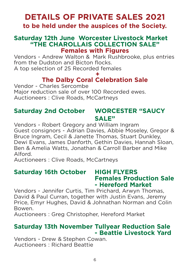## **DETAILS OF PRIVATE SALES 2021**

### **to be held under the auspices of the Society.**

### **Saturday 12th June Worcester Livestock Market "THE CHAROLLAIS COLLECTION SALE" Females with Figures**

Vendors - Andrew Walton & Mark Rushbrooke, plus entries from the Dudston and Bicton flocks. A top selection of 25 Recorded females

### **+ The Dalby Coral Celebration Sale**

Vendor - Charles Sercombe Major reduction sale of over 100 Recorded ewes. Auctioneers : Clive Roads, McCartneys

### **Saturday 2nd October WORCESTER "SAUCY SALE"**

Vendors - Robert Gregory and William Ingram Guest consignors - Adrian Davies, Abbie Moseley, Gregor & Bruce Ingram, Cecil & Janette Thomas, Stuart Dunkley, Dewi Evans, James Danforth, Gethin Davies, Hannah Sloan, Ben & Amelia Watts, Jonathan & Carroll Barber and Mike Alford.

Auctioneers : Clive Roads, McCartneys

### **Saturday 16th October HIGH FLYERS Females Production Sale - Hereford Market**

Vendors - Jennifer Curtis, Tim Prichard, Arwyn Thomas, David & Paul Curran, together with Justin Evans, Jeremy Price, Emyr Hughes, David & Johnathan Norman and Colin Bowen.

Auctioneers : Greg Christopher, Hereford Market

### **Saturday 13th November Tullyear Reduction Sale - Beattie Livestock Yard**

Vendors - Drew & Stephen Cowan. Auctioneers : Richard Beattie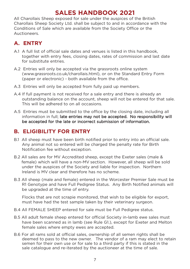### **SALES HANDBOOK 2021**

All Charollais Sheep exposed for sale under the auspices of the British Charollais Sheep Society Ltd. shall be subject to and in accordance with the Conditions of Sale which are available from the Society Office or the Auctioneers.

### **A. ENTRY**

- A.1 A full list of official sale dates and venues is listed in this handbook, together with entry fees, closing dates, rates of commission and last date for substitute entries.
- A.2 Entries will only be accepted via the grassroots online system (www.grassroots.co.uk/charollais.html), or on the Standard Entry Form (paper or electronic) - both available from the office.
- A.3 Entries will only be accepted from fully paid up members.
- A.4 If full payment is not received for a sale entry and there is already an outstanding balance on the account, sheep will not be entered for that sale. This will be adhered to on all occasions.
- A.5 Entries must be submitted to the office by the closing date, including all information in full; late entries may not be accepted. No responsibility will be accepted for the late or incorrect submission of information.

### **B. ELIGIBILITY FOR ENTRY**

- B.1 All sheep must have been birth notified prior to entry into an official sale. Any animal not so entered will be charged the penalty rate for Birth Notification fee without exception.
- B.2 All sales are for MV Accredited sheep, except the Exeter sales (male & female) which will have a non-MV section. However, all sheep will be sold under the auspices of the Society and liable for inspection. Northern Ireland is MV clear and therefore has no scheme.
- B.3 All sheep (male and female) entered in the Worcester Premier Sale must be R1 Genotype and have Full Pedigree Status. Any Birth Notified animals will be upgraded at the time of entry.

Flocks that are not scrapie monitored, that wish to be eligible for export, must have had the test sample taken by their veterinary surgeon.

- B.4 All FEMALE SHEEP entered for sale must be Full Pedigree status.
- B.5 All adult female sheep entered for official Society in-lamb ewe sales must have been scanned as in lamb (see Rule G1.), except for Exeter and Melton female sales where empty ewes are accepted.
- B.6 For all rams sold at official sales, ownership of all semen rights shall be deemed to pass to the new owner. The vendor of a ram may elect to retain semen for their own use or for sale to a third party if this is stated in the sale catalogue and re-iterated by the auctioneer at the time of sale.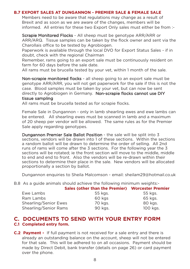#### **B.7 EXPORT SALES AT DUNGANNON - PREMIER SALE & FEMALE SALE**

Members need to be aware that regulations may change as a result of Brexit and as soon as we are aware of the changes, members will be informed. All entries for these two Export Only sales must either be from :-

Scrapie Monitored Flocks - All sheep must be genotype ARR/ARR or ARR/ARQ. Tissue samples can be taken by the flock owner and sent via the Charollais office to be tested by Agrobiogen.

Paperwork is available through the local DVO for Export Status Sales - if in doubt, check with the regional Chairman

Remember, rams going to an export sale must be continuously resident on farm for 60 days before the sale date.

All rams must be brucella tested by your vet, within 1 month of the sale.

Non-scrapie monitored flocks - all sheep going to an export sale must be genotype ARR/ARR, you will not get paperwork for the sale if this is not the case. Blood samples must be taken by your vet, but can now be sent directly to Agrobiogen in Germany. Non-scrapie flocks cannot use DIY tissue sampling

All rams must be brucella tested as for scrapie flocks.

Female Sale in Dungannon - only in lamb shearling ewes and ewe lambs can be entered. All shearling ewes must be scanned in lamb and a maximum of 20 sheep per vendor will be allowed. The same rules as for the Premier Sale apply regarding genotypes.

Dungannon Premier Sale Ballot Position - the sale will be split into 3 sections, vendors will be drawn into 1 of these sections. Within the sections a random ballot will be drawn to determine the order of selling. All 2nd runs of rams will come after the 3 sections. For the following year the 3 sections will be rotated; ie the front section will move to the middle, middle to end and end to front. Also the vendors will be re-drawn within their sections to determine their place in the sale. New vendors will be allocated proportionally a section by ballot.

Dungannon enquiries to Sheila Malcomson - email: sheilam29@hotmail.co.uk

B.8 As a guide animals should achieve the following minimum weights:-

|                       | Sales (other than the Premier) Worcester Premier |          |
|-----------------------|--------------------------------------------------|----------|
| Ewe Lambs             | 55 kgs.                                          | 55 kgs.  |
| Ram Lambs             | 60 kgs                                           | 65 kgs.  |
| Shearling/Senior Ewes | 70 kgs.                                          | 80 kgs.  |
| Shearling/Senior Rams | 90 kgs.                                          | 100 kgs. |

#### **C. DOCUMENTS TO SEND WITH YOUR ENTRY FORM C.1 Completed entry form.**

**C.2 Payment -** If full payment is not received for a sale entry and there is already an outstanding balance on the account, sheep will not be entered for that sale. This will be adhered to on all occasions. Payment should be made by Direct Debit, bank transfer (details on page 26) or card payment over the phone.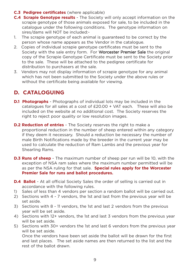- **C.3 Pedigree certificates** (where applicable)
- **C.4 Scrapie Genotype results**  The Society will only accept information on the scrapie genotype of those animals exposed for sale, to be included in the catalogue under the following conditions. The genotype information on sires/dams will NOT be included:-
- 1. The scrapie genotype of each animal is guaranteed to be correct by the person whose name appears as the Vendor in the catalogue.
- 2. Copies of individual scrapie genotype certificates must be sent to the Society with the sale entry form. For Worcester Premier Sale the original copy of the Scrapie Genotype Certificate must be sent to the Society prior to the sale. These will be attached to the pedigree certificate for distribution to purchasers at the sale.
- 3. Vendors may not display information of scrapie genotype for any animal which has not been submitted to the Society under the above rules or without the certificate being available for viewing.

### **D. CATALOGUING**

- **D.1 Photographs** Photographs of individual lots may be included in the catalogues for all sales at a cost of £20.00 + VAT each. These will also be included on the website at no additional cost. The Society reserves the right to reject poor quality or low resolution images.
- **D.2 Reduction of entries** The Society reserves the right to make a proportional reduction in the number of sheep entered within any category if they deem it necessary. Should a reduction be necessary the number of male Birth Notifications made by the breeder in the current year may be used to calculate the reduction of Ram Lambs and the previous year for Shearling Rams.
- **D.3 Runs of sheep** The maximum number of sheep per run will be 10, with the exception of NSA ram sales where the maximum number permitted will be as per the NSA ruling for that sale. **Special rules apply for the Worcester Premier Sale for runs and ballot procedures.**
- **D.4 Ballot** At all official Society Sales the order of selling is carried out in accordance with the following rules.
- 1) Sales of less than 4 vendors per section a random ballot will be carried out.
- 2) Sections with 4 7 vendors, the 1st and last from the previous year will be set aside.
- 3) Sections with 8 11 vendors, the 1st and last 2 vendors from the previous year will be set aside.
- 4) Sections with 12+ vendors, the 1st and last 3 vendors from the previous year will be set aside.
- 5) Sections with 30+ vendors the 1st and last 6 vendors from the previous year will be set aside.

Once the vendors have been set aside the ballot will be drawn for the first and last places. The set aside names are then returned to the list and the rest of the ballot drawn.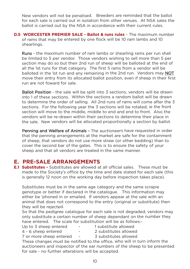New vendors will not be penalised. Breeders are reminded that the ballot for each sale is carried out in isolation from other venues. At NSA sales the ballot is carried out by the NSA in accordance with their current rules.

**D.5 WORCESTER PREMIER SALE - Ballot & runs rules - The maximum number** of rams that may be entered by one flock will be 10 ram lambs and 10 shearlings.

Runs - the maximum number of ram lambs or shearling rams per run shall be limited to 5 per vendor. Those vendors wishing to sell more than 5 per section may do so but their 2nd run of sheep will be balloted at the end of all the 1st runs for that category. The first 5 rams from a vendor will be balloted in the 1st run and any remaining in the 2nd run. Vendors may NOT move their entry from its allocated ballot position, even if sheep in their first run are not foward for sale.

Ballot Position - the sale will be split into 3 sections, vendors will be drawn into 1 of these sections. Within the sections a random ballot will be drawn to determine the order of selling. All 2nd runs of rams will come after the 3 sections. For the following year the 3 sections will be rotated; ie the front section will move to the middle, middle to end and end to front. Also the vendors will be re-drawn within their sections to determine their place in the sale. New vendors will be allocated proportionally a section by ballot.

Penning and Welfare of Animals - The auctioneers have requested in order that the penning arrangements at the market are safe for the containment of sheep, that vendors do not use more straw (or other bedding) than to cover the second bar of the gates. This is to ensure the safety of your sheep and that all vendors are treated in the same manner.

#### **E. PRE-SALE ARRANGEMENTS**

**E.1 Substitutes -** Substitutes are allowed at all official sales. These must be made to the Society's office by the time and date stated for each sale (this is generally 12 noon on the working day before inspection takes place).

Substitutes must be in the same age category and the same scrapie genotype or better if declared in the catalogue. This information may either be 'phoned in or emailed. If vendors appear at the sale with an animal that does not correspond to the entry (original or substitute) then they will be rejected.

So that the pedigree catalogue for each sale is not degraded, vendors may only substitute a certain number of sheep dependant on the number they have entered. The scale for substitution will be as follows:-

- 
- Up to 3 sheep entered 1 substitute allowed
- 
- 4 6 sheep entered 2 substitutes allowed

7 or more sheep entered - 3 substitutes allowed

These changes must be notified to the office, who will in turn inform the auctioneers and inspector of the ear numbers of the sheep to be presented for sale - no further alterations will be accepted.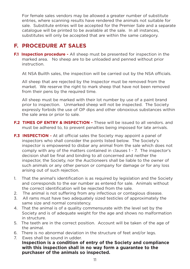For female sales vendors may be allowed a greater number of substitute entries, where scanning results have rendered the animals not suitable for sale. Substitute entries will be accepted for the Premier Sale and a separate catalogue will be printed to be available at the sale. In all instances, substitutes will only be accepted that are within the same category.

### **F. PROCEDURE AT SALES**

**F.1 Inspection procedure -** All sheep must be presented for inspection in the marked area. No sheep are to be unloaded and penned without prior instruction.

At NSA Builth sales, the inspection will be carried out by the NSA officials.

All sheep that are rejected by the Inspector must be removed from the market. We reserve the right to mark sheep that have not been removed from their pens by the required time.

All sheep must be marked with their lot number by use of a paint brand prior to inspection. Unmarked sheep will not be inspected. The Society expressly forbids the use of OP dips and other obnoxious substances within the sale area or prior to sale.

- **F.2 TIMES OF ENTRY & INSPECTION -** These will be issued to all vendors, and must be adhered to, to prevent penalties being imposed for late arrivals.
- **F.3 INSPECTION -** At all official sales the Society may appoint a panel of inspectors who shall consider the points listed below. The Society's inspector is empowered to disbar any animal from the sale which does not comply with any of the matters contained in clauses 1 - 7. The inspector's decision shall be final and binding to all concerned and neither the inspector, the Society, nor the Auctioneers shall be liable to the owner of such animals or any other person or company for damage or for any loss arising out of such rejection.
- 1. That the animal's identification is as required by legislation and the Society and corresponds to the ear number as entered for sale. Animals without the correct identification will be rejected from the sale.
- 2. The animal is not suffering from any infectious or contagious disease.
- 3. All rams must have two adequately sized testicles of approximately the same size and normal consistency.
- 4. That the animal is of a quality commensurate with the level set by the Society and is of adequate weight for the age and shows no malformation in structure.
- 5. The teeth are in the correct position. Account will be taken of the age of the animal.
- 6. There is no abnormal deviation in the structure of feet and/or legs.
- 7. Ewes shall be sound in udder. **Inspection is a condition of entry of the Society and compliance with this inspection shall in no way form a guarantee to the purchaser of the animals so inspected.**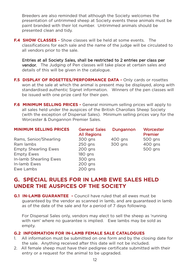Breeders are also reminded that although the Society welcomes the presentation of untrimmed sheep at Society events these animals must be paint branded with their lot number. Untrimmed animals should be presented clean and tidy.

**F.4 SHOW CLASSES** - Show classes will be held at some events. The classifications for each sale and the name of the judge will be circulated to all vendors prior to the sale.

Entries at all Society Sales, shall be restricted to 2 entries per class per vendor. The Judging of Pen classes will take place at certain sales and details of this will be given in the catalogue.

- **F.5 DISPLAY OF ROSETTES/PERFORMANCE DATA Only cards or rosettes** won at the sale at which the animal is present may be displayed, along with standardised authentic Signet information. Winners of the pen classes will be issued with one prize card for their pen.
- **F.6 MINIMUM SELLING PRICES -** General minimum selling prices will apply to all sales held under the auspices of the British Charollais Sheep Society (with the exception of Dispersal Sales). Minimum selling prices vary for the Worcester & Dungannon Premier Sales.

| <b>MINIMUM SELLING PRICES</b> | <b>General Sales</b><br><b>All Regions</b> | Dungannon | Worcester<br>Premier |
|-------------------------------|--------------------------------------------|-----------|----------------------|
| Rams, Senior/Shearling        | 300 gns                                    | 400 gns   | 500 gns              |
| Ram lambs                     | 250 gns                                    | 300 gns   | 400 gns              |
| <b>Empty Shearling Ewes</b>   | $200$ gns                                  |           | 500 gns              |
| <b>Empty Ewes</b>             | 180 gns                                    |           |                      |
| In-lamb Shearling Ewes        | 300 gns                                    |           |                      |
| In-lamb Ewes                  | $200$ gns                                  |           |                      |
| Ewe Lambs                     | $200$ gns                                  |           |                      |

### **G. SPECIAL RULES FOR IN LAMB EWE SALES HELD UNDER THE AUSPICES OF THE SOCIETY**

**G.1 IN-LAMB GUARANTEE -** Council have ruled that all ewes must be guaranteed by the vendor as scanned in lamb, and are guaranteed in lamb as of the date of the sale and for a period of 7 days following.

For Dispersal Sales only, vendors may elect to sell the sheep as 'running with ram' where no guarantee is implied. Ewe lambs may be sold as empty.

#### **G.2 INFORMATION FOR IN-LAMB FEMALE SALE CATALOGUES**

- 1. All information must be submitted on one form and by the closing date for the sale. Anything received after this date will not be included.
- 2. All female sheep must have their pedigree certificate submitted with their entry or a request for the animal to be upgraded.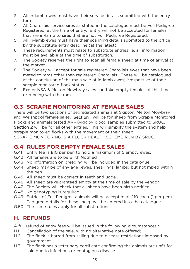- 3. All in-lamb ewes must have their service details submitted with the entry form.
- 4. All Charollais service sires as stated in the catalogue must be Full Pedigree Registered, at the time of entry. Entry will not be accepted for females that are in-lamb to sires that are not Full Pedigree Registered.
- 5. All in-lamb ewes must have their scanning details submitted to the office by the substitute entry deadline (at the latest).
- 6. These requirements must relate to substitute entries i.e. all information must be available at the time of substitution.
- 7. The Society reserves the right to scan all female sheep at time of arrival at the market.
- 8. The Society will accept for sale registered Charollais ewes that have been mated to rams other than registered Charollais. These will be catalogued at the conclusion of the main sale of in-lamb ewes; irrespective of their scrapie monitored flock status.
- 9. Exeter NSA & Melton Mowbray sales can take empty females at this time, or running with the ram.

### **G.3 SCRAPIE MONITORING AT FEMALE SALES**

There will be two sections of segregated animals at Skipton, Melton Mowbray and Welshpool female sales. Section 1 will be for sheep from Scrapie Monitored Flocks and animals tested ARR/ARR by blood samples submitted to SRUC. Section 2 will be for all other entries. This will simplify the system and help scrapie monitored flocks with the movement of their sheep.

SCRAPIE MONITORING IS A FLOCK HEALTH SCHEME RUN BY SRUC.

### **G.4 RULES FOR EMPTY FEMALE SALES**

- G.41 Entry fee is £10 per pen to hold a maximum of 5 empty ewes.
- G.42 All females are to be Birth Notified
- G.43 No information on breeding will be included in the catalogue.
- G.44 Sheep may be of any age (ewes, shearlings, lambs) but not mixed within the pen.
- G.45 All sheep must be correct in teeth and udder.
- G.46 All sheep are guaranteed empty at the time of sale by the vendor.
- G.47 The Society will check that all sheep have been birth notified.
- G.48 No genotyping is required.
- G.49 Entries of Full Pedigree animals will be accepted at £10 each (1 per pen). Pedigree details for these sheep will be entered into the catalogue.
- G.50 The same rules apply for all substitutions.

### **H. REFUNDS**

A full refund of entry fees will be issued in the following circumstances :-

- H.1 Cancellation of the sale, with no alternative date offered;
- H.2 The flock is barred from selling due to disease restrictions imposed by government.
- H.3 The flock has a veterinary certificate confirming the animals are unfit for sale due to infectious or contagious disease.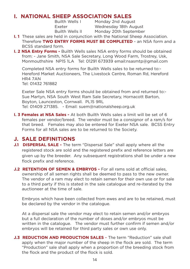### **I. NATIONAL SHEEP ASSOCIATION SALES**

Builth Wells I Monday 2nd August Exeter Wednesday 18th August Builth Wells II Monday 20th September

- **I. 1** These sales are held in conjunction with the National Sheep Association. Therefore **TWO ENTRY FORMS MUST BE COMPLETED** - an NSA form and a BCSS standard form.
- **I. 2 NSA Entry Forms -** Builth Wells sales NSA entry forms should be obtained from: - Jane Smith, NSA Sale Secretary, Long Wood Farm, Trostrey, Usk, Monmouthshire NP15 1LA Tel: 01291 673939 email:nsasmtp@gmail.com

Completed NSA entry forms for Builth Wells sales to be returned to:- Hereford Market Auctioneers, The Livestock Centre, Roman Rd, Hereford HR4 7AN Tel: 01432 761882

Exeter Sale NSA entry forms should be obtained from and returned to:- Sue Martyn, NSA South West Ram Sale Secretary, Hornacott Barton, Boyton, Launceston, Cornwall. PL15 9RL Tel: 01409 271385. - Email: suem@nationalsheep.org.uk

**I. 3 Females at NSA Sales -** At both Builth Wells sales a limit will be set of 6 females per vendor/breed. The vendor must be a consignor of a ram/s for that breed. Females may also be entered for Exeter NSA sale. BCSS Entry Forms for all NSA sales are to be returned to the Society.

### **J. SALE DEFINITIONS**

- **J.1 DISPERSAL SALE -** The term "Dispersal Sale" shall apply where all the registered stock are sold and the registered prefix and reference letters are given up by the breeder. Any subsequent registrations shall be under a new flock prefix and reference.
- **J.2 RETENTION OF SEMEN & EMBRYOS -** For all rams sold at official sales, ownership of all semen rights shall be deemed to pass to the new owner. The vendor of a ram may elect to retain semen for their own use or for sale to a third party if this is stated in the sale catalogue and re-iterated by the auctioneer at the time of sale.

Embryos which have been collected from ewes and are to be retained, must be declared by the vendor in the catalogue.

At a dispersal sale the vendor may elect to retain semen and/or embryos but a full declaration of the number of doses and/or embryos must be written in the catalogue. The vendor must further confirm if semen and/or embryos will be retained for third party sales or own use only.

**J.3 REDUCTION AND PRODUCTION SALES** - The term "Reduction" sale shall apply when the major number of the sheep in the flock are sold. The term "Production" sale shall apply when a proportion of the breeding stock from the flock and the product of the flock is sold.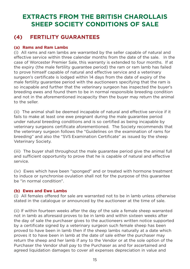### **EXTRACTS FROM THE BRITISH CHAROLLAIS SHEEP SOCIETY CONDITIONS OF SALE**

### **(4) FERTILITY GUARANTEES**

#### **(a) Rams and Ram Lambs**

(i) All rams and ram lambs are warranted by the seller capable of natural and effective service within three calendar months from the date of the sale. In the case of Worcester Premier Sale, this warranty is extended to four months. If at the expiry (the male fertility guarantee period) the ram or ram lamb has failed to prove himself capable of natural and effective service and a veterinary surgeon's certificate is lodged within 14 days from the date of expiry of the male fertility guarantee period with the auctioneers specifying that the ram is so incapable and further that the veterinary surgeon has inspected the buyer's breeding ewes and found them to be in normal responsible breeding condition and not in the aforementioned incapacity then the buyer may return the animal to the seller.

(ii) The animal shall be deemed incapable of natural and effective service if it fails to make at least one ewe pregnant during the male guarantee period under natural breeding conditions and is so certified as being incapable by veterinary surgeons certificate aforementioned. The Society recommends that the veterinary surgeon follows the "Guidelines on the examination of rams for breeding" and also the "SVS Examination Certificate" as issued by the sheep Veterinary Society.

(iii) The buyer shall throughout the male guarantee period give the animal full and sufficient opportunity to prove that he is capable of natural and effective service.

(iv) Ewes which have been "sponged" and or treated with hormone treatment to induce or synchronise ovulation shall not for the purpose of this guarantee be "in normal condition".

#### **(b) Ewes and Ewe Lambs**

(i) All females offered for sale are warranted not to be in lamb unless otherwise stated in the catalogue or announced by the auctioneer at the time of sale.

(ii) If within fourteen weeks after the day of the sale a female sheep warranted not in lamb as aforesaid proves to be in lamb and within sixteen weeks after the day of sale the purchaser gives to the auctioneers written notice supported by a certificate signed by a veterinary surgeon such female sheep has been proved to have been in lamb then if the sheep lambs naturally at a date which proves it to have been in lamb at the date of sale either the purchaser may return the sheep and her lamb if any to the Vendor or at the sole option of the Purchaser the Vendor shall pay to the Purchaser as and for ascertained and agreed liquidation damages to cover all expenses depreciation in value and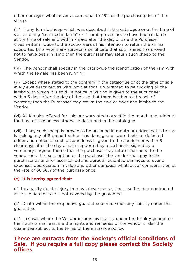other damages whatsoever a sum equal to 25% of the purchase price of the sheep.

(iii) If any female sheep which was described in the catalogue or at the time of sale as being "scanned in lamb" or in lamb proves not to have been in lamb at the time of sale and within 7 days after the day of sale the Purchaser gives written notice to the auctioneers of his intention to return the animal supported by a veterinary surgeon's certificate that such sheep has proved not to have been in lamb then the purchaser may return such sheep to the Vendor.

(iv) The Vendor shall specify in the catalogue the identification of the ram with which the female has been running.

(v) Except where stated to the contrary in the catalogue or at the time of sale every ewe described as with lamb at foot is warranted to be suckling all the lambs with which it is sold. If notice in writing is given to the auctioneer within 5 days after the day of the sale that there has been a breach of warranty then the Purchaser may return the ewe or ewes and lambs to the Vendor.

(vi) All females offered for sale are warranted correct in the mouth and udder at the time of sale unless otherwise described in the catalogue.

(vii) If any such sheep is proven to be unsound in mouth or udder that is to say is lacking any of 8 broad teeth or has damaged or worn teeth or defected udder and notice of such unsoundness is given to the auctioneer within 5 clear days after the day of sale supported by a certificate signed by a veterinary surgeon then either the purchaser may return the sheep to the vendor or at the sole option of the purchaser the vendor shall pay to the purchaser as and for ascertained and agreed liquidated damages to over all expenses depreciation in value and other damages whatsoever compensation at the rate of 66.66% of the purchase price.

#### **(c) It is hereby agreed that:-**

(i) Incapacity due to injury from whatever cause, illness suffered or contracted after the date of sale is not covered by the guarantee.

(ii) Death within the respective guarantee period voids any liability under this guarantee.

(iii) In cases where the Vendor insures his liability under the fertility guarantee the insurers shall assume the rights and remedies of the vendor under the guarantee subject to the terms of the insurance policy.

#### **These are extracts from the Society's official Conditions of Sale. If you require a full copy please contact the Society offices.**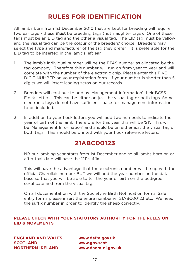### **RULES FOR IDENTIFICATION**

All lambs born from 1st December 2010 that are kept for breeding will require two ear tags - these must be breeding tags (not slaughter tags). One of these tags must be an EID tag and the other a visual tag. The EID tag must be yellow and the visual tag can be the colour of the breeders' choice. Breeders may select the type and manufacturer of the tag they prefer. It is preferable for the EID tag to be inserted in the lamb's left ear.

- 1. The lamb's individual number will be the ETAS number as allocated by the tag company. Therefore this number will run on from year to year and will correlate with the number of the electronic chip. Please enter this FIVE DIGIT NUMBER on your registration form. If your number is shorter than 5 digits we will insert leading zeros on our records.
- 2. Breeders will continue to add as 'Management Information' their BCSS Flock Letters. This can be either on just the visual tag or both tags. Some electronic tags do not have sufficient space for management information to be included.
- 3. In addition to your flock letters you will add two numerals to indicate the year of birth of the lamb; therefore for this year this will be '21'. This will be 'Management Information' and should be on either just the visual tag or both tags. This should be printed with your flock reference letters.

### **21ABC00123**

NB our lambing year starts from 1st December and so all lambs born on or after that date will have the '21' suffix.

This will have the advantage that the electronic number will tie up with the official Charollais number BUT we will add the year number on the data base so that you will be able to tell the year of birth on the pedigree certificate and from the visual tag.

On all documentation with the Society ie Birth Notification forms, Sale entry forms please insert the entire number ie 21ABC00123 etc. We need the suffix number in order to identify the sheep correctly.

#### **PLEASE CHECK WITH YOUR STATUTORY AUTHORITY FOR THE RULES ON EID & MOVEMENTS**

**ENGLAND AND WALES www.defra.gov.uk SCOTLAND www.gov.scot NORTHERN IRELAND www.daera-ni.gov.uk**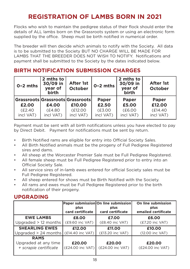### **REGISTRATION OF LAMBS BORN IN 2021**

Flocks who wish to maintain the pedigree status of their flock should enter the details of ALL lambs born on the Grassroots system or using an electronic form supplied by the office. Sheep must be birth notified in numerical order.

The breeder will then decide which animals to notify with the Society. All data is to be submitted to the Society BUT NO CHARGE WILL BE MADE FOR LAMBS THAT THE BREEDER DOES NOT WISH TO NOTIFY. Notifications and payment shall be submitted to the Society by the dates indicated below.

### **BIRTH NOTIFICATION SUBMISSION CHARGES**

| $0 - 2$ mths         | 2 mths to<br>30/09 in<br>year of<br><b>birth</b> | <b>After 1st</b><br><b>October</b>         | $0 - 2$ mths          | 2 mths to<br>30/09 in<br>year of<br><b>birth</b> | <b>After 1st</b><br><b>October</b> |
|----------------------|--------------------------------------------------|--------------------------------------------|-----------------------|--------------------------------------------------|------------------------------------|
| £2.00                | £4.00                                            | Grassroots Grassroots Grassroots<br>£10.00 | <b>Paper</b><br>£2.50 | <b>Paper</b><br>£5.00                            | <b>Paper</b><br>£12.00             |
| (E2.40)<br>incl VAT) | (E4.80)<br>incl VAT)                             | (E12.00)<br>incl VAT)                      | (E3.00)<br>incl VAT)  | (E6.00)<br>incl VAT)                             | (E14.40)<br>incl VAT)              |

Payment must be sent with all birth notifications unless you have elected to pay by Direct Debit. Payment for notifications must be sent by return.

- Birth Notified rams are eligible for entry into Official Society Sales.
- All Birth Notified animals must be the progeny of Full Pedigree Registered sires and dams.
- All sheep at the Worcester Premier Sale must be Full Pedigree Registered.
- All female sheep must be Full Pedigree Registered prior to entry into an Official Society Sale.
- All service sires of in-lamb ewes entered for official Society sales must be Full Pedigree Registered.
- All sheep entered for shows must be Birth Notified with the Society.
- All rams and ewes must be Full Pedigree Registered prior to the birth notification of their progeny.

### **UPGRADING**

|                                               | plus<br>card certificate   | Paper submission On line submission<br>plus<br>card certificate | On line submission<br>plus<br>emailed certificate |
|-----------------------------------------------|----------------------------|-----------------------------------------------------------------|---------------------------------------------------|
| <b>EWE LAMBS</b>                              | £8.00                      | £7.00                                                           | £6.00                                             |
| Upgraded $> 12$ months                        | (£9.60 inc VAT)            | (£8.40 inc VAT)                                                 | (£7.20 inc VAT)                                   |
| <b>SHEARLING EWES</b>                         | £12.00                     | £11.00                                                          | £10.00                                            |
| Upgraded > 24 months                          | (£14.40 inc VAT)           | (£13.20 inc VAT)                                                | (12.00 inc VAT)                                   |
| <b>RAMS</b>                                   |                            |                                                                 |                                                   |
| Upgraded at any time<br>+ scrapie certificate | £20.00<br>(£24.00 inc VAT) | £20.00<br>(£24.00 inc VAT)                                      | £20.00<br>(£24.00 inc VAT)                        |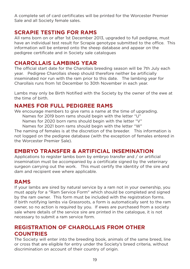A complete set of card certificates will be printed for the Worcester Premier Sale and all Society female sales.

#### **SCRAPIE TESTING FOR RAMS**

All rams born on or after 1st December 2013, upgraded to full pedigree, must have an individual test result for Scrapie genotype submitted to the office. This information will be entered onto the sheep database and appear on the pedigree certificate and in Society sale catalogues

#### **CHAROLLAIS LAMBING YEAR**

The official start date for the Charollais breeding season will be 7th July each year. Pedigree Charollais sheep should therefore neither be artificially inseminated nor run with the ram prior to this date. The lambing year for Charollais runs from 1st December to 30th November in each year.

Lambs may only be Birth Notified with the Society by the owner of the ewe at the time of birth.

### **NAMES FOR FULL PEDIGREE RAMS**

We encourage members to give rams a name at the time of upgrading. Names for 2019 born rams should begin with the letter "U"

Names for 2020 born rams should begin with the letter "V"

Names for 2021 born rams should begin with the letter "W"

The naming of females is at the discretion of the breeder. This information is not logged on the pedigree database (with the exception of females entered in the Worcester Premier Sale).

### **EMBRYO TRANSFER & ARTIFICIAL INSEMINATION**

Applications to register lambs born by embryo transfer and / or artificial insemination must be accompanied by a certificate signed by the veterinary surgeon carrying out the work. This must certify the identity of the sire and dam and recipient ewe where applicable.

### **RAMS**

If your lambs are sired by natural service by a ram not in your ownership, you must apply for a "Ram Service Form" which should be completed and signed by the ram owner. This form must be included with the registration forms. If birth notifying lambs via Grassroots, a form is automatically sent to the ram owner, so no action is required by you. If ewes are purchased from a society sale where details of the service sire are printed in the catalogue, it is not necessary to submit a ram service form.

### **REGISTRATION OF CHAROLLAIS FROM OTHER COUNTRIES**

The Society will enter into the breeding book, animals of the same breed, line or cross that are eligible for entry under the Society's breed criteria, without discrimination on account of their country of origin.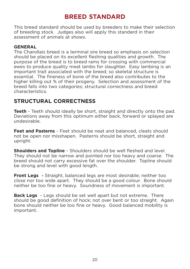### **BREED STANDARD**

This breed standard should be used by breeders to make their selection of breeding stock. Judges also will apply this standard in their assessment of animals at shows.

#### **GENERAL**

The Charollais breed is a terminal sire breed so emphasis on selection should be placed on its excellent fleshing qualities and growth. The purpose of the breed is to breed rams for crossing with commercial ewes to produce quality meat lambs for slaughter. Easy lambing is an important trait associated with the breed; so skeletal structure is essential. The fineness of bone of the breed also contributes to the higher killing out % of their progeny. Selection and assessment of the breed falls into two categories; structural correctness and breed characteristics.

### **STRUCTURAL CORRECTNESS**

**Teeth** - Teeth should ideally be short, straight and directly onto the pad. Deviations away from this optimum either back, forward or splayed are undesirable.

**Feet and Pasterns** - Feet should be neat and balanced, cleats should not be open nor misshapen. Pasterns should be short, straight and upright.

**Shoulders and Topline** - Shoulders should be well fleshed and level. They should not be narrow and pointed nor too heavy and coarse. The breed should not carry excessive fat over the shoulder. Topline should be strong and level with good length.

**Front Legs** - Straight, balanced legs are most desirable; neither too close nor too wide apart. They should be a good colour. Bone should neither be too fine or heavy. Soundness of movement is important.

**Back Legs** - Legs should be set well apart but not extreme. There should be good definition of hock; not over bent or too straight. Again bone should neither be too fine or heavy. Good balanced mobility is important.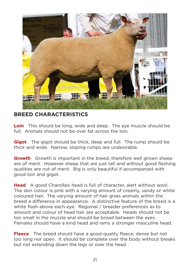![](_page_20_Picture_0.jpeg)

### **BREED CHARACTERISTICS**

**Loin** This should be long, wide and deep. The eye muscle should be full. Animals should not be over fat across the loin.

**Gigot** The gigot should be thick, deep and full. The rump should be thick and wide. Narrow, sloping rumps are undesirable.

**Growth** Growth is important in the breed, therefore well grown sheep are of merit. However sheep that are just tall and without good fleshing qualities are not of merit. Big is only beautiful if accompanied with good loin and gigot.

**Head** A good Charollais head is full of character, alert without wool. The skin colour is pink with a varying amount of creamy, sandy or white coloured hair. The varying amount of hair gives animals within the breed a difference in appearance. A distinctive feature of the breed is a white flash above each eye. Regional / breeder preferences as to amount and colour of head hair are acceptable. Heads should not be too small in the muzzle and should be broad between the eyes. Females should have a kind head and rams a stronger masculine head.

**Fleece** The breed should have a good quality fleece; dense but not too long nor open. It should be complete over the body without breaks but not extending down the legs or over the head.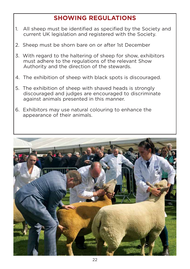### **SHOWING REGULATIONS**

- 1. All sheep must be identified as specified by the Society and current UK legislation and registered with the Society.
- 2. Sheep must be shorn bare on or after 1st December
- 3. With regard to the haltering of sheep for show, exhibitors must adhere to the regulations of the relevant Show Authority and the direction of the stewards.
- 4. The exhibition of sheep with black spots is discouraged.
- 5. The exhibition of sheep with shaved heads is strongly discouraged and judges are encouraged to discriminate against animals presented in this manner.
- 6. Exhibitors may use natural colouring to enhance the appearance of their animals.

![](_page_21_Picture_7.jpeg)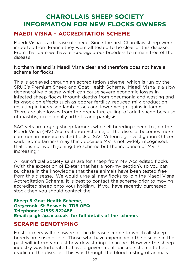### **CHAROLLAIS SHEEP SOCIETY INFORMATION FOR NEW FLOCKS OWNERS**

### **MAEDI VISNA – ACCREDITATION SCHEME**

Maedi Visna is a disease of sheep. Since the first Charollais sheep were imported from France they were all tested to be clear of this disease. From that date we have encouraged our breeders to remain free of the disease.

#### Northern Ireland is Maedi Visna clear and therefore does not have a scheme for flocks.

This is achieved through an accreditation scheme, which is run by the SRUC's Premium Sheep and Goat Health Scheme. Maedi Visna is a slow degenerative disease which can cause severe economic losses in infected sheep flocks through deaths from pneumonia and wasting and its knock-on effects such as poorer fertility, reduced milk production resulting in increased lamb losses and lower weight gains in lambs. There are also losses from the premature culling of adult sheep because of mastitis, occasionally arthritis and paralysis.

SAC vets are urging sheep farmers who sell breeding sheep to join the Maedi Visna (MV) Accreditation Scheme, as the disease becomes more common in non-accredited flocks. SAC Veterinary Investigation Officer said: "Some farmers may think because MV is not widely recognised. that it is not worth joining the scheme but the incidence of MV is increasing."

All our official Society sales are for sheep from MV Accredited flocks (with the exception of Exeter that has a non-mv section), so you can purchase in the knowledge that these animals have been tested free from this disease. We would urge all new flocks to join the Maedi Visna Accreditation Scheme. It is best to contact the scheme prior to moving accredited sheep onto your holding. If you have recently purchased stock then you should contact the

#### **Sheep & Goat Health Scheme, Greycrook, St Boswells, TD6 0EQ Telephone: 01835 822456 Email: psghs@sac.co.uk for full details of the scheme.**

### **SCRAPIE GENOTYPING**

Most farmers will be aware of the disease scrapie to which all sheep breeds are susceptible. Those who have experienced the disease in the past will inform you just how devastating it can be. However the sheep industry was fortunate to have a government backed scheme to help eradicate the disease. This was through the blood testing of animals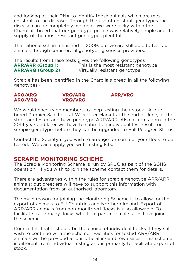and looking at their DNA to identify those animals which are most resistant to the disease. Through the use of resistant genotypes the disease can be completely avoided. We were lucky within the Charollais breed that our genotype profile was relatively simple and the supply of the most resistant genotypes plentiful.

The national scheme finished in 2009, but we are still able to test our animals through commercial genotyping service providers.

The results from these tests gives the following genotypes : **ARR/ARR (Group 1)** This is the most resistant genotype **ARR/ARQ (Group 2)** Virtually resistant genotype

Scrapie has been identified in the Charollais breed in all the following genotypes:-

## **ARQ/ARQ VRQ/ARQ ARR/VRQ**

### **ARQ/VRQ VRQ/VRQ**

We would encourage members to keep testing their stock. At our breed Premier Sale held at Worcester Market at the end of June, all the stock are tested and have genotype ARR/ARR. Also all rams born in the 2014 year and later will have to submit an individual test result for scrapie genotype, before they can be upgraded to Full Pedigree Status.

Contact the Society if you wish to arrange for some of your flock to be tested. We can supply you with testing kits.

### **SCRAPIE MONITORING SCHEME**

The Scrapie Monitoring Scheme is run by SRUC as part of the SGHS operation. If you wish to join the scheme contact them for details.

There are advantages within the rules for scrapie genotype ARR/ARR animals; but breeders will have to support this information with documentation from an authorised laboratory.

The main reason for joining the Monitoring Scheme is to allow for the export of animals to EU Countries and Northern Ireland. Export of ARR/ARR animals from non-monitored flocks is also allowable. To facilitate trade many flocks who take part in female sales have joined the scheme.

Council felt that it should be the choice of individual flocks if they still wish to continue with the scheme. Facilities for tested ARR/ARR animals will be provided at our official in-lamb ewe sales. This scheme is different from individual testing and is primarily to facilitate export of stock.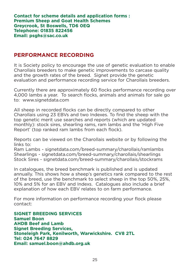**Contact for scheme details and application forms : Premium Sheep and Goat Health Schemes Greycrook, St Boswells, TD6 0EQ Telephone: 01835 822456 Email: psghs@sac.co.uk**

#### **PERFORMANCE RECORDING**

It is Society policy to encourage the use of genetic evaluation to enable Charollais breeders to make genetic improvements to carcase quality and the growth rates of the breed. Signet provide the genetic evaluation and performance recording service for Charollais breeders.

Currently there are approximately 60 flocks performance recording over 4,000 lambs a year. To search flocks, animals and animals for sale go to: www.signetdata.com

All sheep in recorded flocks can be directly compared to other Charollais using 23 EBVs and two Indexes. To find the sheep with the top genetic merit use searches and reports (which are updated monthly): stock sires, shearling rams, ram lambs and the 'High Five Report' (top ranked ram lambs from each flock).

Reports can be viewed on the Charollais website or by following the links to:

Ram Lambs - signetdata.com/breed-summary/charollais/ramlambs Shearlings - signetdata.com/breed-summary/charollais/shearlings Stock Sires - signetdata.com/breed-summary/charollais/stockrams

In catalogues, the breed benchmark is published and is updated annually. This shows how a sheep's genetics rank compared to the rest of the breed, use the benchmark to select sheep in the top 50%, 25%, 10% and 5% for an EBV and Indexs. Catalogues also include a brief explanation of how each EBV relates to on farm performance.

For more information on performance recording your flock please contact:

**SIGNET BREEDING SERVICES Samuel Boon AHDB Beef and Lamb Signet Breeding Services, Stoneleigh Park, Kenilworth, Warwickshire. CV8 2TL Tel: 024 7647 8829 Email: samuel.boon@ahdb.org.uk**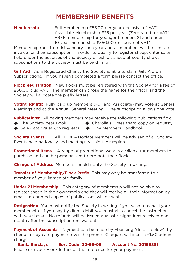### **MEMBERSHIP BENEFITS**

**Membership** Full Membership £55.00 per year (inclusive of VAT) Associate Membership £25 per year (Zero rated for VAT) FREE membership for younger breeders 21 and under. 10 year membership £550.00 (inclusive of VAT)

Membership runs from 1st January each year and all members will be sent an invoice for their subscription. In order to qualify to register sheep, enter sales held under the auspices of the Society or exhibit sheep at county shows subscriptions to the Society must be paid in full.

**Gift Aid** As a Registered Charity the Society is able to claim Gift Aid on Subscriptions. If you haven't completed a form please contact the office.

**Flock Registration** New flocks must be registered with the Society for a fee of £30.00 plus VAT. The member can chose the name for their flock and the Society will allocate the prefix letters.

**Voting Rights:** Fully paid up members (Full and Associate) may vote at General Meetings and at the Annual General Meeting. One subscription allows one vote.

**Publications:** All paying members may receive the following publications f.o.c:

- 
- ◆ The Society Year Book → ◆ Charollais Times (hard copy on request)
- ◆ Sale Catalogues (on request) ◆ The Members Handbook

**Society Events** All Full & Associate Members will be advised of all Society Events held nationally and meetings within their region.

**Promotional Items** A range of promotional wear is available for members to purchase and can be personalised to promote their flock.

**Change of Address** Members should notify the Society in writing.

**Transfer of Membership/Flock Prefix** This may only be transferred to a member of your immediate family.

**Under 21 Membership -** This category of membership will not be able to register sheep in their ownership and they will receive all their information by email - no printed copies of publications will be sent.

**Resignation** You must notify the Society in writing if you wish to cancel your membership. If you pay by direct debit you must also cancel the instruction with your bank. No refunds will be issued against resignations received one month after the subscription renewal date.

**Payment of Accounts** Payment can be made by Ebanking (details below), by cheque or by card payment over the phone. Cheques will incur a £1.50 admin charge.

**Bank: Barclays Sort Code: 20-99-08 Account No. 30196851** Please use your Flock letters as the reference for your payment.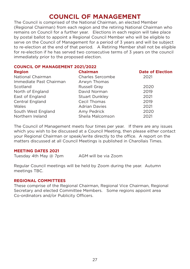### **COUNCIL OF MANAGEMENT**

The Council is comprised of the National Chairman, an elected Member (Regional Chairman) from each region and the retiring National Chairman who remains on Council for a further year. Elections in each region will take place by postal ballot to appoint a Regional Council Member who will be eligible to serve on the Council of Management for a period of 3 years and will be subject to re-election at the end of that period. A Retiring Member shall not be eligible for re-election if he has served two consecutive terms of 3 years on the council immediately prior to the proposed election.

#### **COUNCIL OF MANAGEMENT 2021/2022**

| <b>Region</b>           | <b>Chairman</b>         | <b>Date of Election</b> |
|-------------------------|-------------------------|-------------------------|
| National Chairman       | <b>Charles Sercombe</b> | 2021                    |
| Immediate Past Chairman | Arwyn Thomas            |                         |
| Scotland                | <b>Russell Gray</b>     | 2020                    |
| North of England        | David Norman            | 2019                    |
| East of England         | <b>Stuart Dunkley</b>   | 2021                    |
| <b>Central England</b>  | Cecil Thomas            | 2019                    |
| Wales                   | <b>Adrian Davies</b>    | 2021                    |
| South West England      | Amy Pedrick             | 2020                    |
| Northern Ireland        | Sheila Malcomson        | 2021                    |

The Council of Management meets four times per year. If there are any issues which you wish to be discussed at a Council Meeting, then please either contact your Regional Chairman or speak/write directly to the office. A report on the matters discussed at all Council Meetings is published in Charollais Times.

#### **MEETING DATES 2021**

Tuesday 4th May  $@$  7pm  $\overline{AB}$  AGM will be via Zoom

Regular Council meetings will be held by Zoom during the year. Autumn meetings TBC.

#### **REGIONAL COMMITTEES**

These comprise of the Regional Chairman, Regional Vice Chairman, Regional Secretary and elected Committee Members. Some regions appoint area Co-ordinators and/or Publicity Officers.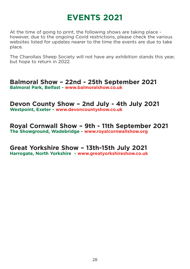## **EVENTS 2021**

At the time of going to print, the following shows are taking place however, due to the ongoing Covid restrictions, please check the various websites listed for updates nearer to the time the events are due to take place.

The Charollais Sheep Society will not have any exhibition stands this year, but hope to return in 2022.

**Balmoral Show – 22nd - 25th September 2021 Balmoral Park, Belfast - www.balmoralshow.co.uk**

#### **Devon County Show – 2nd July - 4th July 2021 Westpoint, Exeter - www.devoncountyshow.co.uk**

#### **Royal Cornwall Show – 9th - 11th September 2021 The Showground, Wadebridge - www.royalcornwallshow.org**

## **Great Yorkshire Show – 13th-15th July 2021**

**Harrogate, North Yorkshire - www.greatyorkshireshow.co.uk**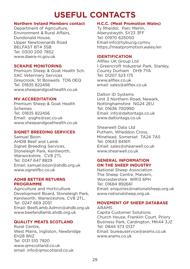## **USEFUL CONTACTS**

#### **Northern Ireland Members contact**

Department of Agriculture, Environment & Rural Affairs, Dundonald House, Upper Newtownards Road BELFAST BT4 3SB Tel: 0300 200 7852 www.daera-ni.gov.uk

#### **SCRAPIE MONITORING**

Premium Sheep & Goat Health Sch. SAC Veterinary Services Greycrook, St Boswells TD6 0EQ Tel: 01835 822456 www.sheepandgoathealth.co.uk

#### **MV ACCREDITATION**

Premium Sheep & Goat Health Schemes Tel: 01835 822456 Email: psghs@sac.co.uk www.sheepandgoathealth.co.uk

#### **SIGNET BREEDING SERVICES**

Samuel Boon AHDB Beef and Lamb Signet Breeding Services, Stoneleigh Park, Kenilworth, Warwickshire. CV8 2TL Tel: 0247 647 8829 Email: samuel.boon@ahdb.org.uk www.signetfbc.co.uk

#### **ADHB BETTER RETURNS PROGRAMME**

Agriculture and Horticulture Development Board, Stoneleigh Park, Kenilworth, Warwickshire, CV8 2TL. Tel: 0247 669 2051 Email: BeefLamb.Admin@ahdb.org.uk www.beefandlamb.ahdb.org.uk

#### **QUALITY MEATS SCOTLAND**

Rural Centre, West Mains, Ingliston, Newbridge EH28 8NZ Tel: 0131 510 7920 www.qmscotland.co.uk email: info@qmscotland.co.uk

#### **H.C.C. (Meat Promotion Wales)**

Ty Rheidol, Parc Merlin, Aberystwyth. SY23 3FF Tel: 01970 625050 Email:info@hybucig.cymru https://meatpromotion.wales/en

#### **IDENTIFICATION**

Allflex UK Group Ltd 1 Greencroft Industrial Park, Stanley, County Durham DH9 7YA Tel: 01207 523 175 www.allflex.co.uk email: sales@allflex.co.uk

Dalton ID Systems Unit 3 Northern Road, Newark, Nottinghamshire NG24 2EU Tel: 01636 700990 Email: info@daltontags.co.uk www.daltontags.co.uk

Shearwell Data Ltd Putham, Wheddon Cross, Minehead, Somerset TA24 7AS Tel: 01643 841611 Email: sales@shearwell.co.uk www.shearwell.co.uk

#### **GENERAL INFORMATION ON THE SHEEP INDUSTRY**

National Sheep Association The Sheep Centre, Malvern, Worcestershire WR13 6PH Tel: 01684 892661 Email: enquiries@nationalsheep.org.uk www.nationalsheep.org.uk

#### **MOVEMENT OF SHEEP DATABASE**

ARAMS Capita Customer Solutions Church House, Franklin Court, Priory Business Park, Cardington, MK44 3JZ Tel: 0844 573 0137 Email: bureauservice@arams.co.uk www.arams.co.uk